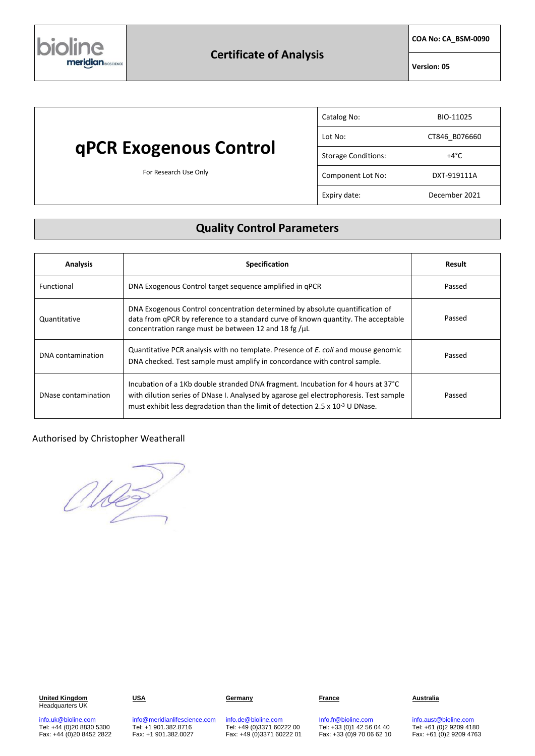

**COA No: CA\_BSM-0090**

**Version: 05**

# **qPCR Exogenous Control**

For Research Use Only

| Catalog No:                | BIO-11025     |
|----------------------------|---------------|
| Lot No:                    | CT846 B076660 |
| <b>Storage Conditions:</b> | +4°C          |
| Component Lot No:          | DXT-919111A   |
| Expiry date:               | December 2021 |

## **Quality Control Parameters**

| <b>Analysis</b>     | <b>Specification</b>                                                                                                                                                                                                                                                 | Result |
|---------------------|----------------------------------------------------------------------------------------------------------------------------------------------------------------------------------------------------------------------------------------------------------------------|--------|
| Functional          | DNA Exogenous Control target sequence amplified in qPCR                                                                                                                                                                                                              | Passed |
| Quantitative        | DNA Exogenous Control concentration determined by absolute quantification of<br>data from qPCR by reference to a standard curve of known quantity. The acceptable<br>concentration range must be between 12 and 18 fg /µL                                            | Passed |
| DNA contamination   | Quantitative PCR analysis with no template. Presence of <i>E. coli</i> and mouse genomic<br>DNA checked. Test sample must amplify in concordance with control sample.                                                                                                | Passed |
| DNase contamination | Incubation of a 1Kb double stranded DNA fragment. Incubation for 4 hours at 37°C<br>with dilution series of DNase I. Analysed by agarose gel electrophoresis. Test sample<br>must exhibit less degradation than the limit of detection $2.5 \times 10^{-3}$ U DNase. | Passed |

### Authorised by Christopher Weatherall

Meg

**United Kingdom** Headquarters UK

[info.uk@bioline.com](mailto:info.uk@bioline.com) Tel: +44 (0)20 8830 5300 Fax: +44 (0)20 8452 2822

**USA Germany France Australia**

[info@meridianlifescience.com](mailto:info@meridianlifescience.com) Tel: +1 901.382.8716 Fax: +1 901.382.0027

[info.de@bioline.com](mailto:info.de@bioline.com) Tel: +49 (0)3371 60222 00 Fax: +49 (0)3371 60222 01 [Info.fr@bioline.com](mailto:Info.fr@bioline.com) Tel: +33 (0)1 42 56 04 40 Fax: +33 (0)9 70 06 62 10

[info.aust@bioline.com](mailto:info.aust@bioline.com) Tel: +61 (0)2 9209 4180 Fax: +61 (0)2 9209 4763